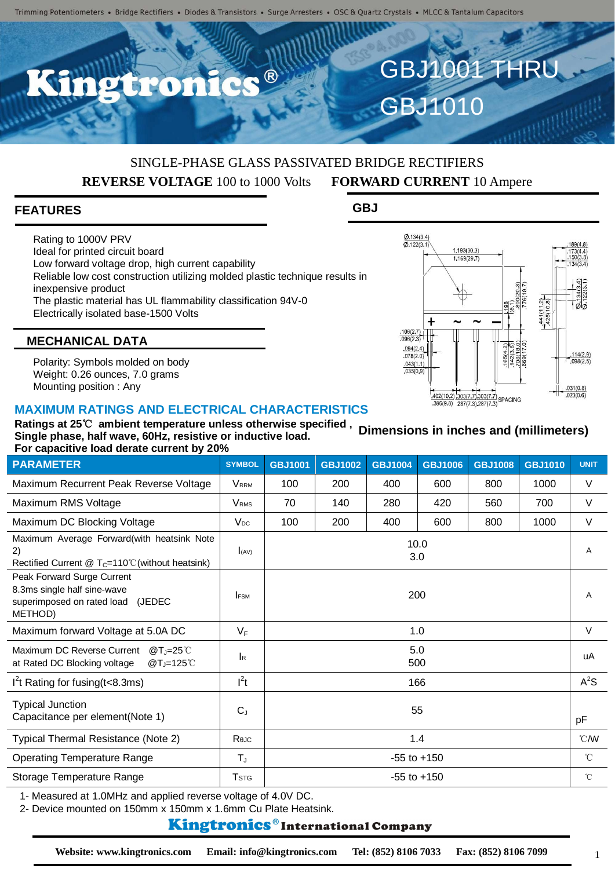C.C.B

#### SINGLE-PHASE GLASS PASSIVATED BRIDGE RECTIFIERS **REVERSE VOLTAGE** 100 to 1000 Volts **FORWARD CURRENT** 10 Ampere

#### **FEATURES**

Rating to 1000V PRV Ideal for printed circuit board Low forward voltage drop, high current capability Reliable low cost construction utilizing molded plastic technique results in inexpensive product The plastic material has UL flammability classification 94V-0 Electrically isolated base-1500 Volts

GBJ1010

GBJ1001 THRU

**GBJ**



#### **MECHANICAL DATA**

Polarity: Symbols molded on body Weight: 0.26 ounces, 7.0 grams Mounting position : Any

#### **MAXIMUM RATINGS AND ELECTRICAL CHARACTERISTICS**

**Ratings at 25**℃ **ambient temperature unless otherwise specified , Single phase, half wave, 60Hz, resistive or inductive load. For capacitive load derate current by 20% Dimensions in inches and (millimeters)**

| <b>PARAMETER</b>                                                                                              | <b>SYMBOL</b>           | <b>GBJ1001</b>  | <b>GBJ1002</b> | <b>GBJ1004</b> | <b>GBJ1006</b> | <b>GBJ1008</b> | <b>GBJ1010</b> | <b>UNIT</b>   |
|---------------------------------------------------------------------------------------------------------------|-------------------------|-----------------|----------------|----------------|----------------|----------------|----------------|---------------|
| Maximum Recurrent Peak Reverse Voltage                                                                        | <b>VRRM</b>             | 100             | 200            | 400            | 600            | 800            | 1000           | $\vee$        |
| Maximum RMS Voltage                                                                                           | <b>VRMS</b>             | 70              | 140            | 280            | 420            | 560            | 700            | $\vee$        |
| Maximum DC Blocking Voltage                                                                                   | $V_{DC}$                | 100             | 200            | 400            | 600            | 800            | 1000           | $\vee$        |
| Maximum Average Forward(with heatsink Note<br>2)<br>Rectified Current $@T_c=110^{\circ}$ C (without heatsink) | (x)                     | 10.0<br>3.0     |                |                |                |                |                | A             |
| Peak Forward Surge Current<br>8.3ms single half sine-wave<br>superimposed on rated load (JEDEC<br>METHOD)     | <b>IFSM</b>             | 200             |                |                |                |                |                | A             |
| Maximum forward Voltage at 5.0A DC                                                                            | $V_F$                   | 1.0             |                |                |                |                |                | $\vee$        |
| Maximum DC Reverse Current<br>$@T_J=25^{\circ}$ C<br>at Rated DC Blocking voltage<br>@T,=125℃                 | <b>I</b> R              | 5.0<br>500      |                |                |                |                |                | uA            |
| $I2$ t Rating for fusing (t<8.3ms)                                                                            | $I^2t$                  | 166             |                |                |                |                |                | $A^2S$        |
| <b>Typical Junction</b><br>Capacitance per element (Note 1)                                                   | $C_{J}$                 | 55              |                |                |                |                |                | pF            |
| Typical Thermal Resistance (Note 2)                                                                           | Reuc                    | 1.4             |                |                |                |                |                | $^{\circ}$ CM |
| <b>Operating Temperature Range</b>                                                                            | $T_{J}$                 | $-55$ to $+150$ |                |                |                |                |                | $^{\circ}$ C  |
| Storage Temperature Range                                                                                     | <b>T</b> <sub>STG</sub> | $-55$ to $+150$ |                |                |                |                |                | $^{\circ}$ C  |
|                                                                                                               |                         |                 |                |                |                |                |                |               |

1- Measured at 1.0MHz and applied reverse voltage of 4.0V DC.

2- Device mounted on 150mm x 150mm x 1.6mm Cu Plate Heatsink.

#### **Kingtronics**®International Company